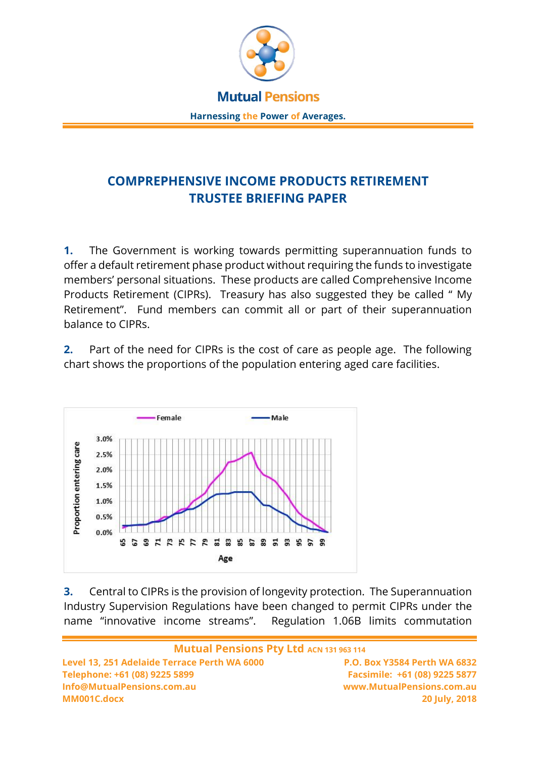

## **COMPREPHENSIVE INCOME PRODUCTS RETIREMENT TRUSTEE BRIEFING PAPER**

**1.** The Government is working towards permitting superannuation funds to offer a default retirement phase product without requiring the funds to investigate members' personal situations. These products are called Comprehensive Income Products Retirement (CIPRs). Treasury has also suggested they be called " My Retirement". Fund members can commit all or part of their superannuation balance to CIPRs.

**2.** Part of the need for CIPRs is the cost of care as people age. The following chart shows the proportions of the population entering aged care facilities.



**3.** Central to CIPRs is the provision of longevity protection. The Superannuation Industry Supervision Regulations have been changed to permit CIPRs under the name "innovative income streams". Regulation 1.06B limits commutation

**Mutual Pensions Pty Ltd ACN 131 963 114 Level 13, 251 Adelaide Terrace Perth WA 6000 P.O. Box Y3584 Perth WA 6832 Telephone: +61 (08) 9225 5899 Facsimile: +61 (08) 9225 5877 Info@MutualPensions.com.au www.MutualPensions.com.au MM001C.docx 20 July, 2018**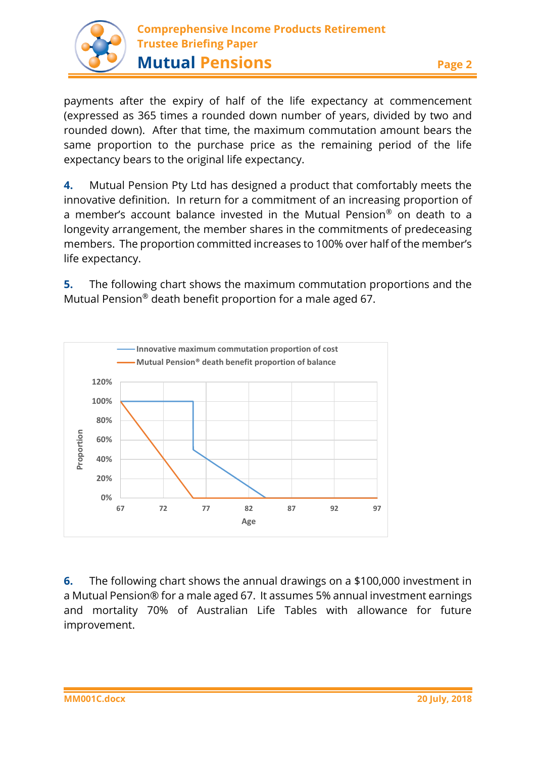

payments after the expiry of half of the life expectancy at commencement (expressed as 365 times a rounded down number of years, divided by two and rounded down). After that time, the maximum commutation amount bears the same proportion to the purchase price as the remaining period of the life expectancy bears to the original life expectancy.

**4.** Mutual Pension Pty Ltd has designed a product that comfortably meets the innovative definition. In return for a commitment of an increasing proportion of a member's account balance invested in the Mutual Pension® on death to a longevity arrangement, the member shares in the commitments of predeceasing members. The proportion committed increases to 100% over half of the member's life expectancy.

**5.** The following chart shows the maximum commutation proportions and the Mutual Pension® death benefit proportion for a male aged 67.



**6.** The following chart shows the annual drawings on a \$100,000 investment in a Mutual Pension® for a male aged 67. It assumes 5% annual investment earnings and mortality 70% of Australian Life Tables with allowance for future improvement.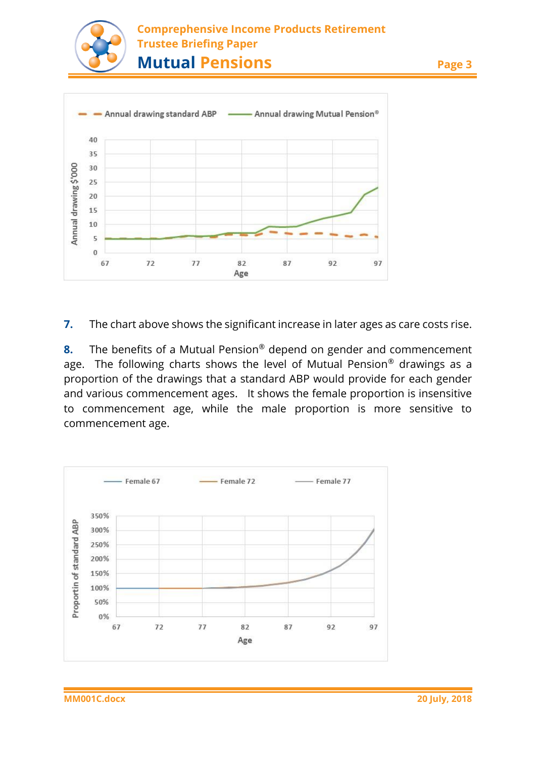



**7.** The chart above shows the significant increase in later ages as care costs rise.

**8.** The benefits of a Mutual Pension® depend on gender and commencement age. The following charts shows the level of Mutual Pension® drawings as a proportion of the drawings that a standard ABP would provide for each gender and various commencement ages. It shows the female proportion is insensitive to commencement age, while the male proportion is more sensitive to commencement age.

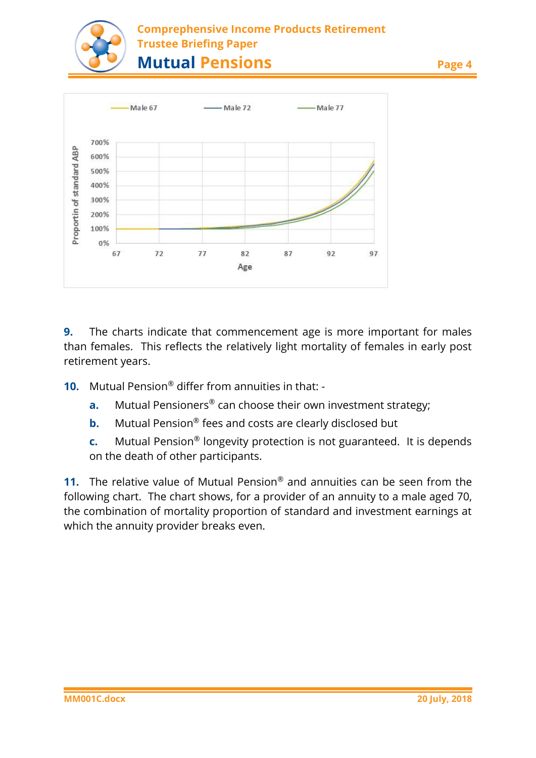

## **Comprephensive Income Products Retirement Trustee Briefing Paper Mutual Pensions Page 4**



**9.** The charts indicate that commencement age is more important for males than females. This reflects the relatively light mortality of females in early post retirement years.

**10.** Mutual Pension® differ from annuities in that: -

- **a.** Mutual Pensioners<sup>®</sup> can choose their own investment strategy;
- **b.** Mutual Pension® fees and costs are clearly disclosed but
- **c.** Mutual Pension® longevity protection is not guaranteed. It is depends on the death of other participants.

**11.** The relative value of Mutual Pension® and annuities can be seen from the following chart. The chart shows, for a provider of an annuity to a male aged 70, the combination of mortality proportion of standard and investment earnings at which the annuity provider breaks even.